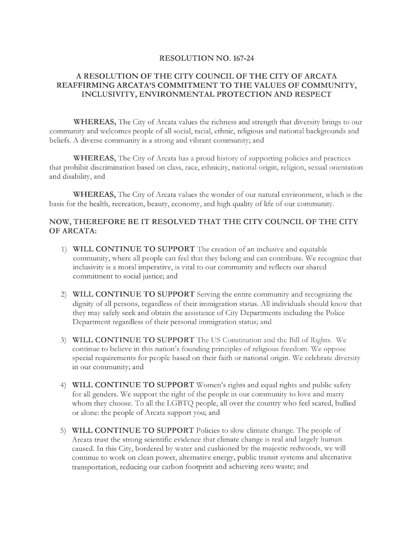#### **RESOLUTION NO. 167-24**

### **A RESOLUTION OF THE CITY COUNCIL OF THE CITY OF ARCATA REAFFIRMING ARCATA'S COMMITMENT TO THE VALUES OF COMMUNITY, INCLUSIVITY, ENVIRONMENTAL PROTECTION AND RESPECT**

**WHEREAS,** The City of Arcata values the richness and strength that diversity brings to our community and welcomes people of all social, racial, ethnic, religious and national backgrounds and beliefs. A diverse community is a strong and vibrant community; and

**WHEREAS,** The City of Arcata has a proud history of supporting policies and practices that prohibit discrimination based on class, race, ethnicity, national origin, religion, sexual orientation and disability, and

**WHEREAS,** T he City of Arcata values the wonder of our natural environment, which is the basis for the health, recreation, beauty, economy, and high quality of life of our community.

# **NOW, THEREFORE BE IT RESOLVED THAT THE CITY COUNCIL OF THE CITY OF ARCATA:**

- 1) **WILL CONTINUE TO SUPPORT** The creation of an inclusive and equitable community, where all people can feel that they belong and can contribute. We recognize that inclusivity is a moral imperative, is vital to our community and reflects our shared commitment to social justice; and
- 2) **WILL CONTINUE TO SUPPORT** Serving the entire community and recognizing the dignity of all persons, regardless of their immigration status. All individuals should know that they may safely seek and obtain the assistance of City Departments including the Police Department regardless of their personal immigration status; and
- 3) **WILL CONTINUE TO SUPPORT** The US Constitution and the Bill of Rights. We continue to believe in this nation's founding principles of religious freedom. We oppose special requirements for people based on their faith or national origin. We celebrate diversity in our community; and
- 4) **WILL CONTINUE TO SUPPORT** Women's rights and equal rights and public safety for all genders. We support the right of the people in our community to love and marry whom they choose. To all the LGBTQ people, all over the country who feel scared, bullied or alone: the people of Arcata support you; and
- 5) **WILL CONTINUE TO SUPPORT** Policies to slow climate change. The people of Arcata trust the strong scientific evidence that climate change is real and largely human caused. In this City, bordered by water and cushioned by the majestic redwoods, we will continue to work on clean power, alternative energy, public transit systems and alternative transportation, reducing our carbon footprint and achieving zero waste; and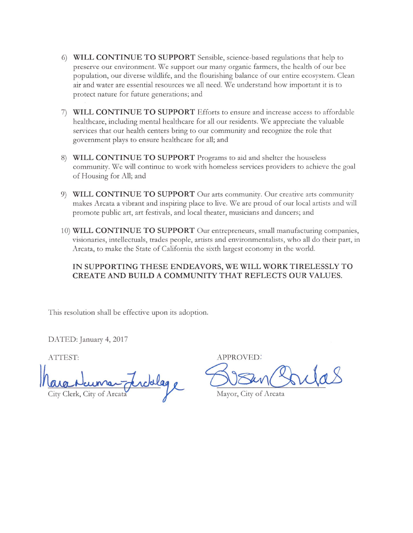- 6) **WILL CONTINUE TO SUPPORT** Sensible, science-based regulations that help to preserve our environment. We support our many organic farmers, the health of our bee population, our diverse wildlife, and the flourishing balance of our entire ecosystem. Clean air and water are essential resources we all need. We understand how important it is to protect nature for future generations; and
- 7) **WILL CONTINUE TO SUPPORT** Efforts to ensure and increase access to affordable healthcare, including mental healthcare for all our residents. We appreciate the valuable services that our health centers bring to our community and recognize the role that government plays to ensure healthcare for all; and
- 8) **WILL CONTINUE TO SUPPORT** Programs to aid and shelter the houseless community. We will continue to work with homeless services providers to achieve the goal of Housing for All; and
- 9) **WILL CONTINUE TO SUPPORT** Our arts community. Our creative arts community makes Arcata a vibrant and inspiring place to live. We are proud of our local artists and will promote public art, art festivals, and local theater, musicians and dancers; and
- 10) **WILL CONTINUE TO SUPPORT** Our entrepreneurs, small manufacturing companies, visionaries, intellectuals, trades people, artists and environmentalists, who all do their part, in Arcata, to make the State of California the sixth largest economy in the world.

# **IN SUPPORTING THESE ENDEAVORS, WE WILL WORK TIRELESSLY TO CREATE AND BUILD A COMMUNITY THAT REFLECTS OUR VALUES.**

This resolution shall be effective upon its adoption.

DATED: January 4, 2017

City Clerk, City of Arcata Naumery

ATTEST: APPROVED:

<u>SISan Portas</u>